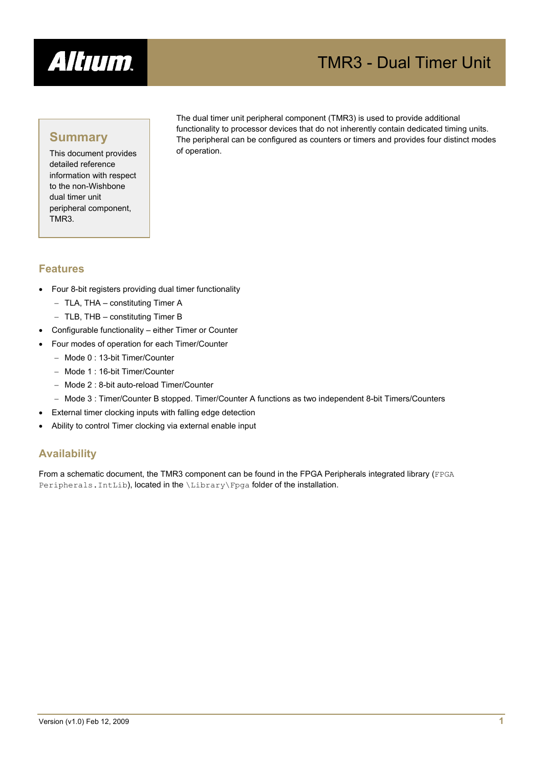

# TMR3 - Dual Timer Unit

# **Summary**

This document provides detailed reference information with respect to the non-Wishbone dual timer unit peripheral component, TMR3.

The dual timer unit peripheral component (TMR3) is used to provide additional functionality to processor devices that do not inherently contain dedicated timing units. The peripheral can be configured as counters or timers and provides four distinct modes of operation.

## **Features**

- Four 8-bit registers providing dual timer functionality
	- − TLA, THA constituting Timer A
	- − TLB, THB constituting Timer B
- Configurable functionality either Timer or Counter
- Four modes of operation for each Timer/Counter
	- − Mode 0 : 13-bit Timer/Counter
	- − Mode 1 : 16-bit Timer/Counter
	- − Mode 2 : 8-bit auto-reload Timer/Counter
	- − Mode 3 : Timer/Counter B stopped. Timer/Counter A functions as two independent 8-bit Timers/Counters
- External timer clocking inputs with falling edge detection
- Ability to control Timer clocking via external enable input

# **Availability**

From a schematic document, the TMR3 component can be found in the FPGA Peripherals integrated library (FPGA Peripherals. IntLib), located in the \Library\Fpga folder of the installation.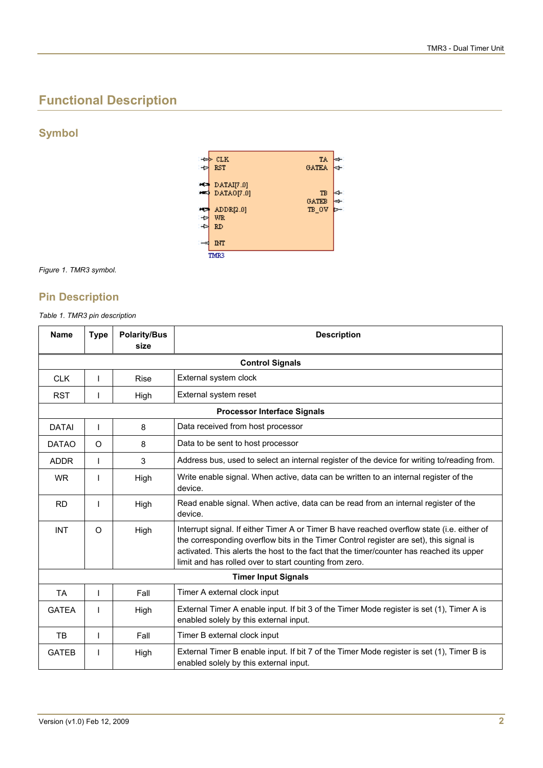# **Functional Description**

**Symbol** 



*Figure 1. TMR3 symbol.* 

# **Pin Description**

*Table 1. TMR3 pin description* 

| <b>Name</b>  | <b>Type</b> | <b>Polarity/Bus</b><br>size | <b>Description</b>                                                                                                                                                                                                                                                                                                                         |  |  |
|--------------|-------------|-----------------------------|--------------------------------------------------------------------------------------------------------------------------------------------------------------------------------------------------------------------------------------------------------------------------------------------------------------------------------------------|--|--|
|              |             |                             | <b>Control Signals</b>                                                                                                                                                                                                                                                                                                                     |  |  |
| <b>CLK</b>   | T           | <b>Rise</b>                 | External system clock                                                                                                                                                                                                                                                                                                                      |  |  |
| <b>RST</b>   |             | High                        | External system reset                                                                                                                                                                                                                                                                                                                      |  |  |
|              |             |                             | <b>Processor Interface Signals</b>                                                                                                                                                                                                                                                                                                         |  |  |
| <b>DATAI</b> | T           | 8                           | Data received from host processor                                                                                                                                                                                                                                                                                                          |  |  |
| <b>DATAO</b> | $\Omega$    | 8                           | Data to be sent to host processor                                                                                                                                                                                                                                                                                                          |  |  |
| <b>ADDR</b>  | T           | 3                           | Address bus, used to select an internal register of the device for writing to/reading from.                                                                                                                                                                                                                                                |  |  |
| <b>WR</b>    |             | High                        | Write enable signal. When active, data can be written to an internal register of the<br>device.                                                                                                                                                                                                                                            |  |  |
| <b>RD</b>    |             | High                        | Read enable signal. When active, data can be read from an internal register of the<br>device.                                                                                                                                                                                                                                              |  |  |
| <b>INT</b>   | $\Omega$    | High                        | Interrupt signal. If either Timer A or Timer B have reached overflow state (i.e. either of<br>the corresponding overflow bits in the Timer Control register are set), this signal is<br>activated. This alerts the host to the fact that the timer/counter has reached its upper<br>limit and has rolled over to start counting from zero. |  |  |
|              |             |                             | <b>Timer Input Signals</b>                                                                                                                                                                                                                                                                                                                 |  |  |
| <b>TA</b>    | L           | Fall                        | Timer A external clock input                                                                                                                                                                                                                                                                                                               |  |  |
| <b>GATEA</b> |             | High                        | External Timer A enable input. If bit 3 of the Timer Mode register is set (1), Timer A is<br>enabled solely by this external input.                                                                                                                                                                                                        |  |  |
| TB           | T           | Fall                        | Timer B external clock input                                                                                                                                                                                                                                                                                                               |  |  |
| <b>GATEB</b> |             | High                        | External Timer B enable input. If bit 7 of the Timer Mode register is set (1), Timer B is<br>enabled solely by this external input.                                                                                                                                                                                                        |  |  |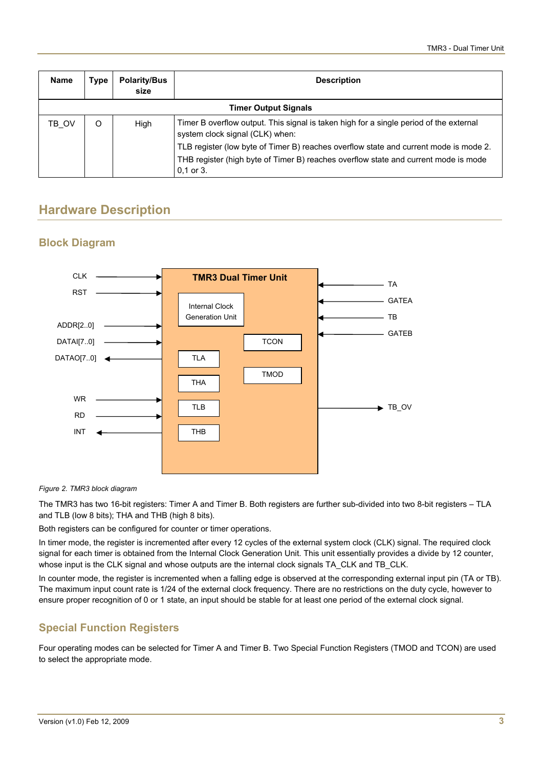| <b>Name</b> | Type | <b>Polarity/Bus</b><br>size | <b>Description</b>                                                                                                                                                                            |
|-------------|------|-----------------------------|-----------------------------------------------------------------------------------------------------------------------------------------------------------------------------------------------|
|             |      |                             | <b>Timer Output Signals</b>                                                                                                                                                                   |
| TB OV       | O    | High                        | Timer B overflow output. This signal is taken high for a single period of the external<br>system clock signal (CLK) when:                                                                     |
|             |      |                             | TLB register (low byte of Timer B) reaches overflow state and current mode is mode 2.<br>THB register (high byte of Timer B) reaches overflow state and current mode is mode<br>$0,1$ or $3.$ |

# **Hardware Description**

# **Block Diagram**



*Figure 2. TMR3 block diagram* 

The TMR3 has two 16-bit registers: Timer A and Timer B. Both registers are further sub-divided into two 8-bit registers – TLA and TLB (low 8 bits); THA and THB (high 8 bits).

Both registers can be configured for counter or timer operations.

In timer mode, the register is incremented after every 12 cycles of the external system clock (CLK) signal. The required clock signal for each timer is obtained from the Internal Clock Generation Unit. This unit essentially provides a divide by 12 counter, whose input is the CLK signal and whose outputs are the internal clock signals TA\_CLK and TB\_CLK.

In counter mode, the register is incremented when a falling edge is observed at the corresponding external input pin (TA or TB). The maximum input count rate is 1/24 of the external clock frequency. There are no restrictions on the duty cycle, however to ensure proper recognition of 0 or 1 state, an input should be stable for at least one period of the external clock signal.

# **Special Function Registers**

Four operating modes can be selected for Timer A and Timer B. Two Special Function Registers (TMOD and TCON) are used to select the appropriate mode.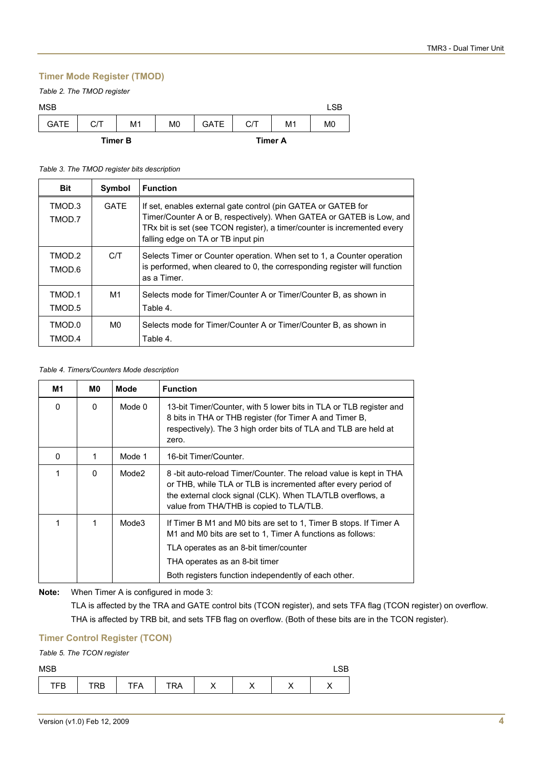#### **Timer Mode Register (TMOD)**

|  |  |  |  | Table 2. The TMOD register |
|--|--|--|--|----------------------------|
|--|--|--|--|----------------------------|

| <b>MSB</b>  |     |                |                |             |                |                | LSB            |
|-------------|-----|----------------|----------------|-------------|----------------|----------------|----------------|
| <b>GATE</b> | C/T | M1             | M <sub>0</sub> | <b>GATE</b> | C/T            | M <sub>1</sub> | M <sub>0</sub> |
|             |     | <b>Timer B</b> |                |             | <b>Timer A</b> |                |                |

#### *Table 3. The TMOD register bits description*

| <b>Bit</b>       | Symbol      | <b>Function</b>                                                                                                                                                                                                                                         |
|------------------|-------------|---------------------------------------------------------------------------------------------------------------------------------------------------------------------------------------------------------------------------------------------------------|
| TMOD.3<br>TMOD.7 | <b>GATE</b> | If set, enables external gate control (pin GATEA or GATEB for<br>Timer/Counter A or B, respectively). When GATEA or GATEB is Low, and<br>TRx bit is set (see TCON register), a timer/counter is incremented every<br>falling edge on TA or TB input pin |
| TMOD.2<br>TMOD.6 | C/T         | Selects Timer or Counter operation. When set to 1, a Counter operation<br>is performed, when cleared to 0, the corresponding register will function<br>as a Timer.                                                                                      |
| TMOD.1<br>TMOD.5 | M1          | Selects mode for Timer/Counter A or Timer/Counter B, as shown in<br>Table 4.                                                                                                                                                                            |
| TMOD.0<br>TMOD.4 | M0          | Selects mode for Timer/Counter A or Timer/Counter B, as shown in<br>Table 4.                                                                                                                                                                            |

#### *Table 4. Timers/Counters Mode description*

| M1 | M0.      | Mode   | <b>Function</b>                                                                                                                                                                                                                                                     |
|----|----------|--------|---------------------------------------------------------------------------------------------------------------------------------------------------------------------------------------------------------------------------------------------------------------------|
| 0  | $\Omega$ | Mode 0 | 13-bit Timer/Counter, with 5 lower bits in TLA or TLB register and<br>8 bits in THA or THB register (for Timer A and Timer B,<br>respectively). The 3 high order bits of TLA and TLB are held at<br>zero.                                                           |
| 0  | 1        | Mode 1 | 16-bit Timer/Counter.                                                                                                                                                                                                                                               |
| 1  | $\Omega$ | Mode2  | 8 -bit auto-reload Timer/Counter. The reload value is kept in THA<br>or THB, while TLA or TLB is incremented after every period of<br>the external clock signal (CLK). When TLA/TLB overflows, a<br>value from THA/THB is copied to TLA/TLB.                        |
| 1  | 1        | Mode3  | If Timer B M1 and M0 bits are set to 1, Timer B stops. If Timer A<br>M1 and M0 bits are set to 1, Timer A functions as follows:<br>TLA operates as an 8-bit timer/counter<br>THA operates as an 8-bit timer<br>Both registers function independently of each other. |

#### **Note:** When Timer A is configured in mode 3:

TLA is affected by the TRA and GATE control bits (TCON register), and sets TFA flag (TCON register) on overflow. THA is affected by TRB bit, and sets TFB flag on overflow. (Both of these bits are in the TCON register).

#### **Timer Control Register (TCON)**

#### *Table 5. The TCON register*

| MSB |     |     |     |         |    | $\cap$<br>∟ບບ |
|-----|-----|-----|-----|---------|----|---------------|
| ГFВ | TRB | TFA | TRA | $\cdot$ | ,, | ,,            |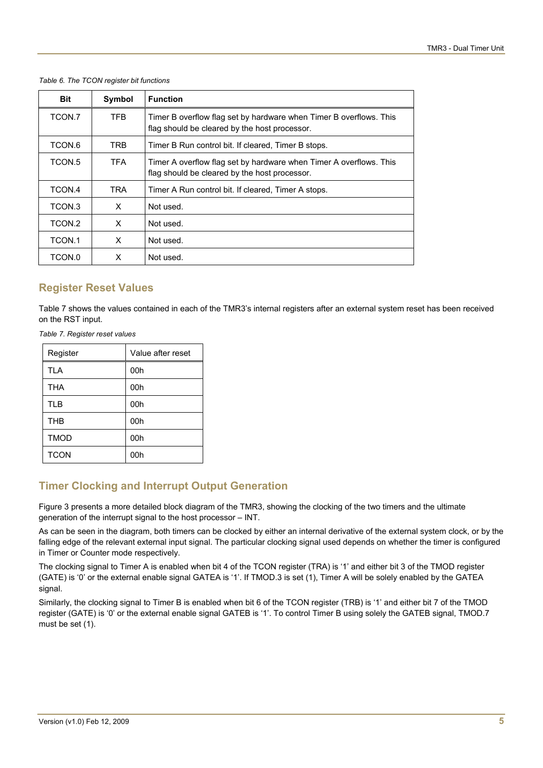| Table 6. The TCON register bit functions |  |
|------------------------------------------|--|
|                                          |  |

| <b>Bit</b> | Symbol     | <b>Function</b>                                                                                                     |
|------------|------------|---------------------------------------------------------------------------------------------------------------------|
| TCON.7     | TFB.       | Timer B overflow flag set by hardware when Timer B overflows. This<br>flag should be cleared by the host processor. |
| TCON.6     | TRB.       | Timer B Run control bit. If cleared, Timer B stops.                                                                 |
| TCON.5     | <b>TFA</b> | Timer A overflow flag set by hardware when Timer A overflows. This<br>flag should be cleared by the host processor. |
| TCON.4     | <b>TRA</b> | Timer A Run control bit. If cleared, Timer A stops.                                                                 |
| TCON.3     | X          | Not used.                                                                                                           |
| TCON.2     | X          | Not used.                                                                                                           |
| TCON.1     | X          | Not used.                                                                                                           |
| TCON.0     | x          | Not used.                                                                                                           |

## **Register Reset Values**

[Table 7](#page-4-0) shows the values contained in each of the TMR3's internal registers after an external system reset has been received on the RST input.

<span id="page-4-0"></span>*Table 7. Register reset values* 

| Register    | Value after reset |  |
|-------------|-------------------|--|
| <b>TLA</b>  | 00h               |  |
| <b>THA</b>  | 00h               |  |
| <b>TLB</b>  | 00h               |  |
| <b>THB</b>  | 00h               |  |
| <b>TMOD</b> | 00h               |  |
| <b>TCON</b> | 00h               |  |

# **Timer Clocking and Interrupt Output Generation**

[Figure 3](#page-5-0) presents a more detailed block diagram of the TMR3, showing the clocking of the two timers and the ultimate generation of the interrupt signal to the host processor – INT.

As can be seen in the diagram, both timers can be clocked by either an internal derivative of the external system clock, or by the falling edge of the relevant external input signal. The particular clocking signal used depends on whether the timer is configured in Timer or Counter mode respectively.

The clocking signal to Timer A is enabled when bit 4 of the TCON register (TRA) is '1' and either bit 3 of the TMOD register (GATE) is '0' or the external enable signal GATEA is '1'. If TMOD.3 is set (1), Timer A will be solely enabled by the GATEA signal.

Similarly, the clocking signal to Timer B is enabled when bit 6 of the TCON register (TRB) is '1' and either bit 7 of the TMOD register (GATE) is '0' or the external enable signal GATEB is '1'. To control Timer B using solely the GATEB signal, TMOD.7 must be set (1).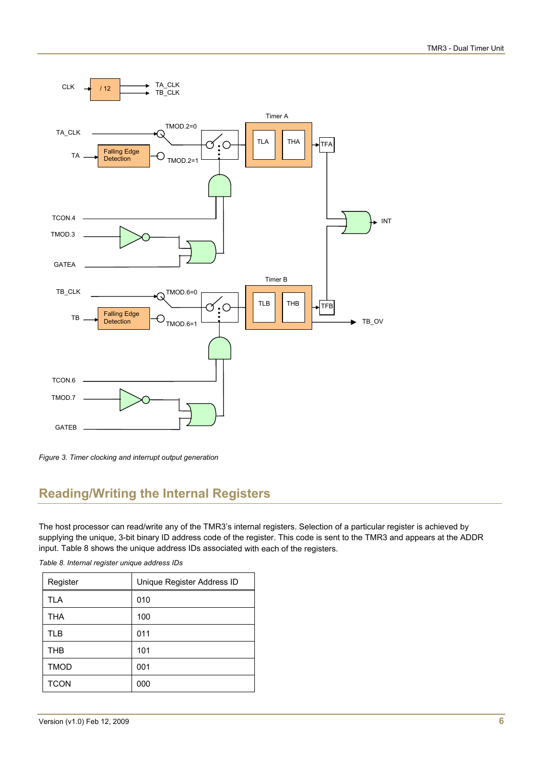

<span id="page-5-0"></span>*Figure 3. Timer clocking and interrupt output generation* 

# **Reading/Writing the Internal Registers**

The host processor can read/write any of the TMR3's internal registers. Selection of a particular register is achieved by supplying the unique, 3-bit binary ID address code of the register. This code is sent to the TMR3 and appears at the ADDR input. [Table 8](#page-5-1) shows the unique address IDs associated with each of the registers.

| Register    | Unique Register Address ID |
|-------------|----------------------------|
| <b>TLA</b>  | 010                        |
| THA         | 100                        |
| <b>TLB</b>  | 011                        |
| <b>THB</b>  | 101                        |
| <b>TMOD</b> | 001                        |
| <b>TCON</b> | 000                        |

<span id="page-5-1"></span>*Table 8. Internal register unique address IDs*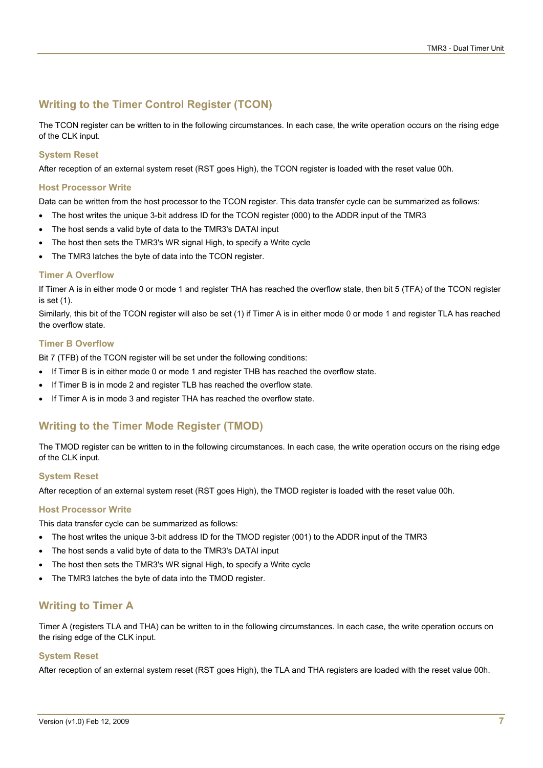# **Writing to the Timer Control Register (TCON)**

The TCON register can be written to in the following circumstances. In each case, the write operation occurs on the rising edge of the CLK input.

#### **System Reset**

After reception of an external system reset (RST goes High), the TCON register is loaded with the reset value 00h.

#### **Host Processor Write**

Data can be written from the host processor to the TCON register. This data transfer cycle can be summarized as follows:

- The host writes the unique 3-bit address ID for the TCON register (000) to the ADDR input of the TMR3
- The host sends a valid byte of data to the TMR3's DATAI input
- The host then sets the TMR3's WR signal High, to specify a Write cycle
- The TMR3 latches the byte of data into the TCON register.

#### **Timer A Overflow**

If Timer A is in either mode 0 or mode 1 and register THA has reached the overflow state, then bit 5 (TFA) of the TCON register is set (1).

Similarly, this bit of the TCON register will also be set (1) if Timer A is in either mode 0 or mode 1 and register TLA has reached the overflow state.

#### **Timer B Overflow**

Bit 7 (TFB) of the TCON register will be set under the following conditions:

- If Timer B is in either mode 0 or mode 1 and register THB has reached the overflow state.
- If Timer B is in mode 2 and register TLB has reached the overflow state.
- If Timer A is in mode 3 and register THA has reached the overflow state.

# **Writing to the Timer Mode Register (TMOD)**

The TMOD register can be written to in the following circumstances. In each case, the write operation occurs on the rising edge of the CLK input.

#### **System Reset**

After reception of an external system reset (RST goes High), the TMOD register is loaded with the reset value 00h.

#### **Host Processor Write**

This data transfer cycle can be summarized as follows:

- The host writes the unique 3-bit address ID for the TMOD register (001) to the ADDR input of the TMR3
- The host sends a valid byte of data to the TMR3's DATAI input
- The host then sets the TMR3's WR signal High, to specify a Write cycle
- The TMR3 latches the byte of data into the TMOD register.

# **Writing to Timer A**

Timer A (registers TLA and THA) can be written to in the following circumstances. In each case, the write operation occurs on the rising edge of the CLK input.

#### **System Reset**

After reception of an external system reset (RST goes High), the TLA and THA registers are loaded with the reset value 00h.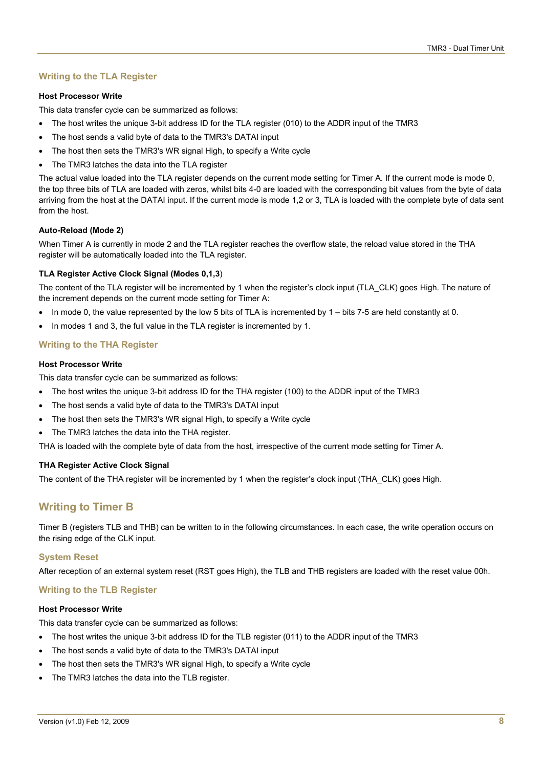#### **Writing to the TLA Register**

#### **Host Processor Write**

This data transfer cycle can be summarized as follows:

- The host writes the unique 3-bit address ID for the TLA register (010) to the ADDR input of the TMR3
- The host sends a valid byte of data to the TMR3's DATAI input
- The host then sets the TMR3's WR signal High, to specify a Write cycle
- The TMR3 latches the data into the TLA register

The actual value loaded into the TLA register depends on the current mode setting for Timer A. If the current mode is mode 0, the top three bits of TLA are loaded with zeros, whilst bits 4-0 are loaded with the corresponding bit values from the byte of data arriving from the host at the DATAI input. If the current mode is mode 1,2 or 3, TLA is loaded with the complete byte of data sent from the host.

#### **Auto-Reload (Mode 2)**

When Timer A is currently in mode 2 and the TLA register reaches the overflow state, the reload value stored in the THA register will be automatically loaded into the TLA register.

#### **TLA Register Active Clock Signal (Modes 0,1,3**)

The content of the TLA register will be incremented by 1 when the register's clock input (TLA\_CLK) goes High. The nature of the increment depends on the current mode setting for Timer A:

- In mode 0, the value represented by the low 5 bits of TLA is incremented by 1 bits 7-5 are held constantly at 0.
- In modes 1 and 3, the full value in the TLA register is incremented by 1.

#### **Writing to the THA Register**

#### **Host Processor Write**

This data transfer cycle can be summarized as follows:

- The host writes the unique 3-bit address ID for the THA register (100) to the ADDR input of the TMR3
- The host sends a valid byte of data to the TMR3's DATAI input
- The host then sets the TMR3's WR signal High, to specify a Write cycle
- The TMR3 latches the data into the THA register.

THA is loaded with the complete byte of data from the host, irrespective of the current mode setting for Timer A.

#### **THA Register Active Clock Signal**

The content of the THA register will be incremented by 1 when the register's clock input (THA\_CLK) goes High.

## **Writing to Timer B**

Timer B (registers TLB and THB) can be written to in the following circumstances. In each case, the write operation occurs on the rising edge of the CLK input.

#### **System Reset**

After reception of an external system reset (RST goes High), the TLB and THB registers are loaded with the reset value 00h.

#### **Writing to the TLB Register**

#### **Host Processor Write**

This data transfer cycle can be summarized as follows:

- The host writes the unique 3-bit address ID for the TLB register (011) to the ADDR input of the TMR3
- The host sends a valid byte of data to the TMR3's DATAI input
- The host then sets the TMR3's WR signal High, to specify a Write cycle
- The TMR3 latches the data into the TLB register.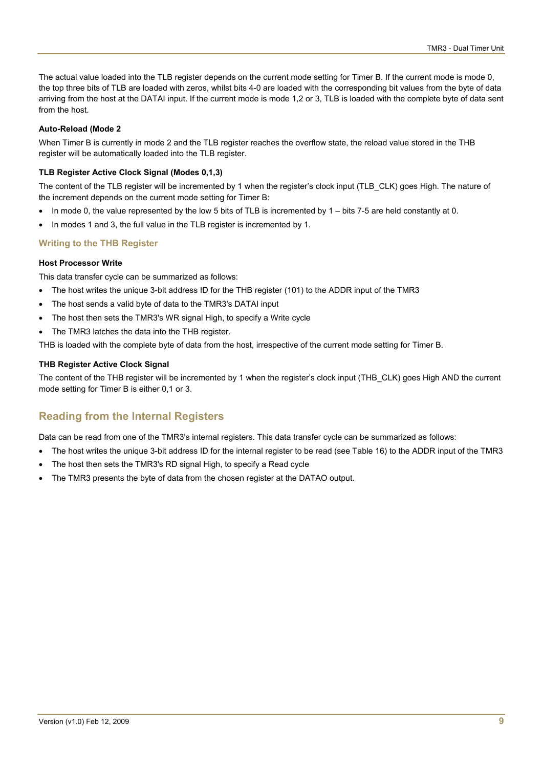The actual value loaded into the TLB register depends on the current mode setting for Timer B. If the current mode is mode 0, the top three bits of TLB are loaded with zeros, whilst bits 4-0 are loaded with the corresponding bit values from the byte of data arriving from the host at the DATAI input. If the current mode is mode 1,2 or 3, TLB is loaded with the complete byte of data sent from the host.

#### **Auto-Reload (Mode 2**

When Timer B is currently in mode 2 and the TLB register reaches the overflow state, the reload value stored in the THB register will be automatically loaded into the TLB register.

#### **TLB Register Active Clock Signal (Modes 0,1,3)**

The content of the TLB register will be incremented by 1 when the register's clock input (TLB\_CLK) goes High. The nature of the increment depends on the current mode setting for Timer B:

- In mode 0, the value represented by the low 5 bits of TLB is incremented by 1 bits 7-5 are held constantly at 0.
- In modes 1 and 3, the full value in the TLB register is incremented by 1.

### **Writing to the THB Register**

#### **Host Processor Write**

This data transfer cycle can be summarized as follows:

- The host writes the unique 3-bit address ID for the THB register (101) to the ADDR input of the TMR3
- The host sends a valid byte of data to the TMR3's DATAI input
- The host then sets the TMR3's WR signal High, to specify a Write cycle
- The TMR3 latches the data into the THB register.

THB is loaded with the complete byte of data from the host, irrespective of the current mode setting for Timer B.

#### **THB Register Active Clock Signal**

The content of the THB register will be incremented by 1 when the register's clock input (THB\_CLK) goes High AND the current mode setting for Timer B is either 0,1 or 3.

# **Reading from the Internal Registers**

Data can be read from one of the TMR3's internal registers. This data transfer cycle can be summarized as follows:

- The host writes the unique 3-bit address ID for the internal register to be read (see [Table 16\)](#page-5-1) to the ADDR input of the TMR3
- The host then sets the TMR3's RD signal High, to specify a Read cycle
- The TMR3 presents the byte of data from the chosen register at the DATAO output.